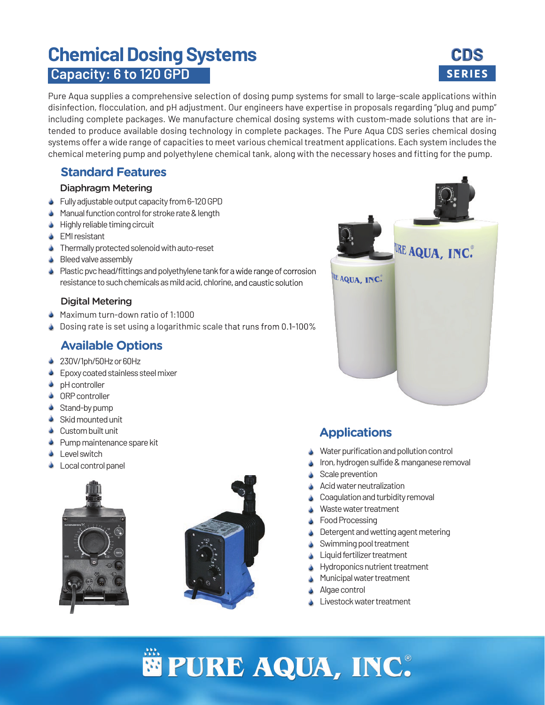# **Chemical Dosing Systems CDS Capacity: 6 to 120 GPD <b>SERIES**



Pure Aqua supplies a comprehensive selection of dosing pump systems for small to large-scale applications within disinfection, flocculation, and pH adjustment. Our engineers have expertise in proposals regarding "plug and pump" including complete packages. We manufacture chemical dosing systems with custom-made solutions that are intended to produce available dosing technology in complete packages. The Pure Aqua CDS series chemical dosing systems offer a wide range of capacities to meet various chemical treatment applications. Each system includes the chemical metering pump and polyethylene chemical tank, along with the necessary hoses and fitting for the pump.

## **Standard Features**

#### Diaphragm Metering

- Fully adjustable output capacity from 6-120 GPD
- Manual function control for stroke rate & length ٥
- **Highly reliable timing circuit**
- **S** EMI resistant
- **Thermally protected solenoid with auto-reset**
- Bleed valve assembly ٥
- **Plastic pvc head/fittings and polyethylene tank for a wide range of corrosion** resistance to such chemicals as mild acid, chlorine, and caustic solution

### Digital Metering

- Maximum turn-down ratio of 1:1000
- Dosing rate is set using a logarithmic scale that runs from 0.1-100% ۸

## **Available Options**

- 230V/1ph/50Hz or 60Hz
- **Epoxy coated stainless steel mixer**
- **b** pH controller
- **ORP** controller
- Stand-by pump
- Skid mounted unit
- Custom built unit
- Pump maintenance spare kit ٥
- Level switch ٥
- Local control panel ٥







## **Applications**

- Water purification and pollution control ٥
- Iron, hydrogen sulfide & manganese removal ٥
- Scale prevention ٥
- Acid water neutralization ٥
- Coagulation and turbidity removal ٥
- Waste water treatment ٥
- Food Processing ٥
- Detergent and wetting agent metering ٥
- Swimming pool treatment ٥
- Liquid fertilizer treatment ٥
- Hydroponics nutrient treatment ٥
- Municipal water treatment ٥
- Algae control ٥
- Livestock water treatment ٥

# $PURE$  **AQUA, INC.**